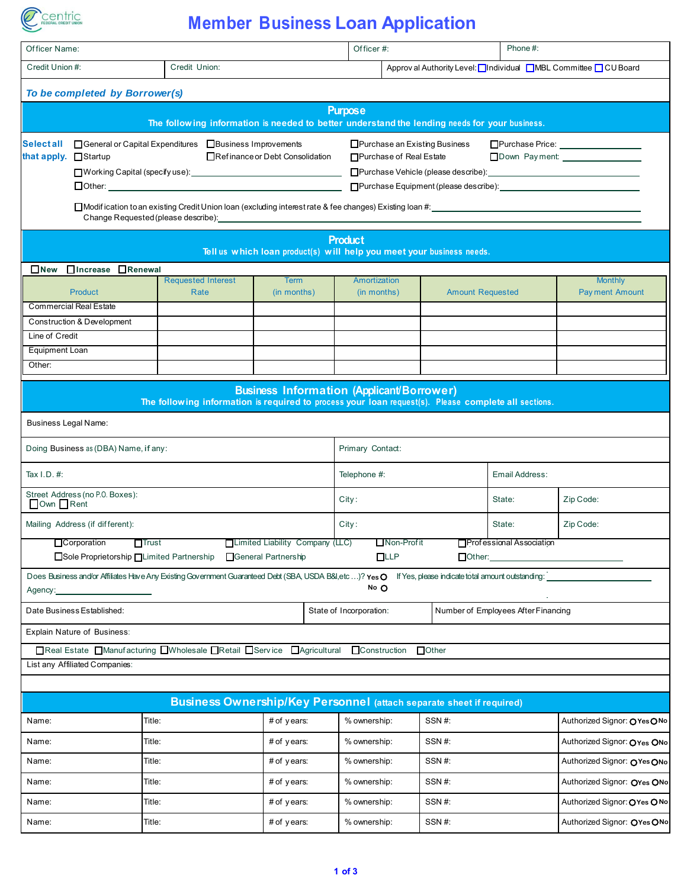

## **Member Business Loan Application**

| Officer Name:                                                        |                                                                                                  |                                   |                                                  |                                                                                                                                                                                                                                                                                                                                                                                                                                                                                                          | Phone#:<br>Officer#:                                                                                                                                               |                         |                                                                                |                                         |  |  |
|----------------------------------------------------------------------|--------------------------------------------------------------------------------------------------|-----------------------------------|--------------------------------------------------|----------------------------------------------------------------------------------------------------------------------------------------------------------------------------------------------------------------------------------------------------------------------------------------------------------------------------------------------------------------------------------------------------------------------------------------------------------------------------------------------------------|--------------------------------------------------------------------------------------------------------------------------------------------------------------------|-------------------------|--------------------------------------------------------------------------------|-----------------------------------------|--|--|
| Credit Union #:                                                      |                                                                                                  | Credit Union:                     |                                                  |                                                                                                                                                                                                                                                                                                                                                                                                                                                                                                          | Approv al Authority Level: Individual MBL Committee ICU Board                                                                                                      |                         |                                                                                |                                         |  |  |
|                                                                      | To be completed by Borrower(s)                                                                   |                                   |                                                  |                                                                                                                                                                                                                                                                                                                                                                                                                                                                                                          |                                                                                                                                                                    |                         |                                                                                |                                         |  |  |
|                                                                      |                                                                                                  |                                   |                                                  |                                                                                                                                                                                                                                                                                                                                                                                                                                                                                                          | <b>Purpose</b><br>The following information is needed to better understand the lending needs for your business.                                                    |                         |                                                                                |                                         |  |  |
| <b>Selectall</b><br>that apply. Startup                              | □ General or Capital Expenditures □ Business Improvements<br>Change Requested (please describe): |                                   | Refinance or Debt Consolidation<br>$\Box$ Other: | □ Purchase an Existing Business<br>Purchase Price: ________________<br>□ Purchase of Real Estate<br>□Purchase Vehicle (please describe): <u>● National Contract Contract Contract</u> Contract Contract Contract Contract Contract Contract Contract Contract Contract Contract Contract Contract Contract Contract Contract Contract<br>□Purchase Equipment (please describe): <u>[1994]</u><br>□Modification to an existing Credit Union Ioan (excluding interest rate & fee changes) Existing Ioan #: |                                                                                                                                                                    |                         |                                                                                |                                         |  |  |
|                                                                      |                                                                                                  |                                   |                                                  |                                                                                                                                                                                                                                                                                                                                                                                                                                                                                                          | <b>Product</b><br>Tell us which loan product(s) will help you meet your business needs.                                                                            |                         |                                                                                |                                         |  |  |
| $\square$ New                                                        | □Increase □Renewal                                                                               |                                   |                                                  |                                                                                                                                                                                                                                                                                                                                                                                                                                                                                                          |                                                                                                                                                                    |                         |                                                                                |                                         |  |  |
|                                                                      | <b>Product</b>                                                                                   | <b>Requested Interest</b><br>Rate |                                                  | <b>Term</b><br>(in months)                                                                                                                                                                                                                                                                                                                                                                                                                                                                               | Amortization<br>(in months)                                                                                                                                        | <b>Amount Requested</b> |                                                                                | <b>Monthly</b><br><b>Payment Amount</b> |  |  |
|                                                                      | <b>Commercial Real Estate</b>                                                                    |                                   |                                                  |                                                                                                                                                                                                                                                                                                                                                                                                                                                                                                          |                                                                                                                                                                    |                         |                                                                                |                                         |  |  |
| Line of Credit                                                       | Construction & Development                                                                       |                                   |                                                  |                                                                                                                                                                                                                                                                                                                                                                                                                                                                                                          |                                                                                                                                                                    |                         |                                                                                |                                         |  |  |
| Equipment Loan                                                       |                                                                                                  |                                   |                                                  |                                                                                                                                                                                                                                                                                                                                                                                                                                                                                                          |                                                                                                                                                                    |                         |                                                                                |                                         |  |  |
| Other:                                                               |                                                                                                  |                                   |                                                  |                                                                                                                                                                                                                                                                                                                                                                                                                                                                                                          |                                                                                                                                                                    |                         |                                                                                |                                         |  |  |
|                                                                      |                                                                                                  |                                   |                                                  |                                                                                                                                                                                                                                                                                                                                                                                                                                                                                                          | <b>Business Information (Applicant/Borrower)</b><br>The following information is required to process your loan request(s). Please complete all sections.           |                         |                                                                                |                                         |  |  |
| <b>Business Legal Name:</b>                                          |                                                                                                  |                                   |                                                  |                                                                                                                                                                                                                                                                                                                                                                                                                                                                                                          |                                                                                                                                                                    |                         |                                                                                |                                         |  |  |
|                                                                      | Doing Business as (DBA) Name, if any:                                                            |                                   |                                                  |                                                                                                                                                                                                                                                                                                                                                                                                                                                                                                          | Primary Contact:                                                                                                                                                   |                         |                                                                                |                                         |  |  |
| Tax $I.D. #:$                                                        |                                                                                                  |                                   |                                                  |                                                                                                                                                                                                                                                                                                                                                                                                                                                                                                          | Telephone #:                                                                                                                                                       |                         | Email Address:                                                                 |                                         |  |  |
| Own Rent                                                             | Street Address (no P.O. Boxes):                                                                  |                                   |                                                  |                                                                                                                                                                                                                                                                                                                                                                                                                                                                                                          | City:                                                                                                                                                              |                         | State:                                                                         | Zip Code:                               |  |  |
|                                                                      | Mailing Address (if different):                                                                  |                                   |                                                  |                                                                                                                                                                                                                                                                                                                                                                                                                                                                                                          | City:                                                                                                                                                              |                         | State:                                                                         | Zip Code:                               |  |  |
|                                                                      | □ Corporation □ Trust<br>□Sole Proprietorship □Limited Partnership □General Partnership          |                                   |                                                  | □Limited Liability Company (LC)                                                                                                                                                                                                                                                                                                                                                                                                                                                                          | $\Box$ Non-Profit<br>LLP                                                                                                                                           |                         | Professional Association<br>$\Box$ Other: $\_\_\_\_\_\_\_\_\_\_\_\_\_\_\_\_\_$ |                                         |  |  |
| Agency:                                                              |                                                                                                  |                                   |                                                  |                                                                                                                                                                                                                                                                                                                                                                                                                                                                                                          | Does Business and/or Affiliates Have Any Existing Government Guaranteed Debt (SBA, USDA B&I, etc)? Yes O If Yes, please indicate total amount outstanding:<br>No O |                         |                                                                                |                                         |  |  |
|                                                                      | Date Business Established:                                                                       |                                   |                                                  |                                                                                                                                                                                                                                                                                                                                                                                                                                                                                                          | State of Incorporation:                                                                                                                                            |                         | Number of Employees After Financing                                            |                                         |  |  |
|                                                                      | Explain Nature of Business:                                                                      |                                   |                                                  |                                                                                                                                                                                                                                                                                                                                                                                                                                                                                                          |                                                                                                                                                                    |                         |                                                                                |                                         |  |  |
|                                                                      | □Real Estate □Manufacturing □Wholesale □Retail □Service □Agricultural                            |                                   |                                                  |                                                                                                                                                                                                                                                                                                                                                                                                                                                                                                          | <b>Construction</b>                                                                                                                                                | $\Box$ Other            |                                                                                |                                         |  |  |
| List any Affiliated Companies:                                       |                                                                                                  |                                   |                                                  |                                                                                                                                                                                                                                                                                                                                                                                                                                                                                                          |                                                                                                                                                                    |                         |                                                                                |                                         |  |  |
|                                                                      |                                                                                                  |                                   |                                                  |                                                                                                                                                                                                                                                                                                                                                                                                                                                                                                          |                                                                                                                                                                    |                         |                                                                                |                                         |  |  |
| Business Ownership/Key Personnel (attach separate sheet if required) |                                                                                                  |                                   |                                                  |                                                                                                                                                                                                                                                                                                                                                                                                                                                                                                          |                                                                                                                                                                    |                         |                                                                                |                                         |  |  |
| Name:                                                                |                                                                                                  | Title:                            |                                                  | # of years:                                                                                                                                                                                                                                                                                                                                                                                                                                                                                              | % ownership:                                                                                                                                                       | SSN#:                   |                                                                                | Authorized Signor: OYesONo              |  |  |
| Name:                                                                |                                                                                                  | Title:                            |                                                  | # of years:                                                                                                                                                                                                                                                                                                                                                                                                                                                                                              | % ownership:                                                                                                                                                       | SSN#:                   |                                                                                | Authorized Signor: OYes ONo             |  |  |
| Name:                                                                |                                                                                                  | Title:                            |                                                  | # of years:                                                                                                                                                                                                                                                                                                                                                                                                                                                                                              | % ownership:                                                                                                                                                       | SSN#:                   | Authorized Signor: OYes ONo                                                    |                                         |  |  |
| Name:                                                                |                                                                                                  | Title:                            |                                                  | # of years:                                                                                                                                                                                                                                                                                                                                                                                                                                                                                              | % ownership:                                                                                                                                                       | SSN#:                   |                                                                                |                                         |  |  |
| Name:                                                                |                                                                                                  | Title:                            |                                                  | # of years:                                                                                                                                                                                                                                                                                                                                                                                                                                                                                              | % ownership:                                                                                                                                                       | SSN#:                   |                                                                                | Authorized Signor: OYes ONo             |  |  |
| Name:                                                                |                                                                                                  | Title:                            |                                                  | # of years:                                                                                                                                                                                                                                                                                                                                                                                                                                                                                              | % ownership:                                                                                                                                                       | SSN#:                   |                                                                                | Authorized Signor: OYes ONo             |  |  |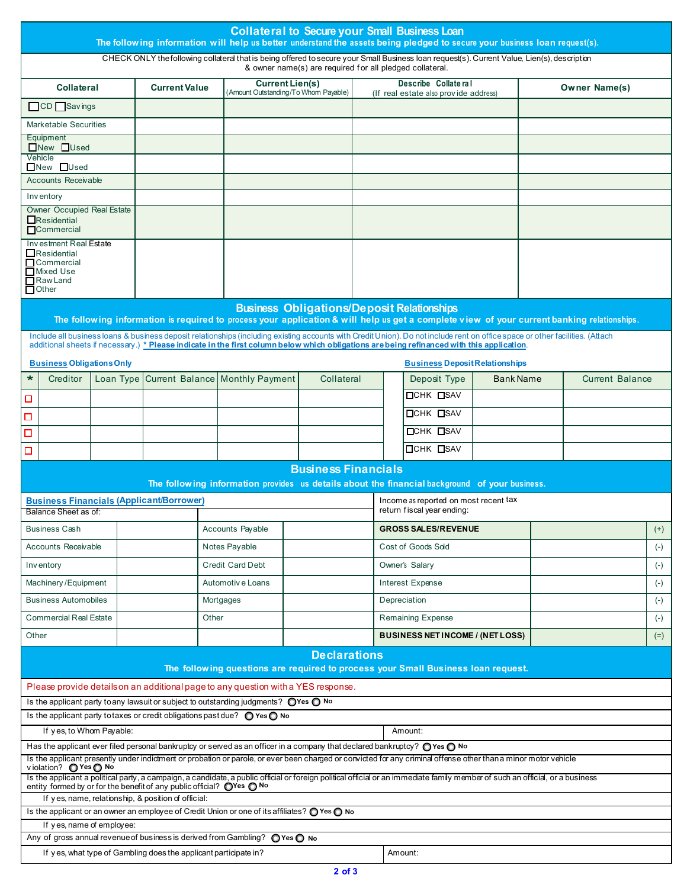|                                                                                                            |                                                                                                                     |  |  |                                                                                                                              |                         |                                                                                                                                                                                              |  | <b>Collateral to Secure your Small Business Loan</b>                                                                                         |                                                              |                  | The following information will help us better understand the assets being pledged to secure your business loan request(s).                                                                                                                                                                                                  |                      |                                            |                                                                                                                                             |          |
|------------------------------------------------------------------------------------------------------------|---------------------------------------------------------------------------------------------------------------------|--|--|------------------------------------------------------------------------------------------------------------------------------|-------------------------|----------------------------------------------------------------------------------------------------------------------------------------------------------------------------------------------|--|----------------------------------------------------------------------------------------------------------------------------------------------|--------------------------------------------------------------|------------------|-----------------------------------------------------------------------------------------------------------------------------------------------------------------------------------------------------------------------------------------------------------------------------------------------------------------------------|----------------------|--------------------------------------------|---------------------------------------------------------------------------------------------------------------------------------------------|----------|
|                                                                                                            |                                                                                                                     |  |  |                                                                                                                              |                         |                                                                                                                                                                                              |  | & owner name(s) are required for all pledged collateral.                                                                                     |                                                              |                  | CHECK ONLY the following collateral that is being offered to secure your Small Business loan request(s). Current Value, Lien(s), description                                                                                                                                                                                |                      |                                            |                                                                                                                                             |          |
| <b>Current Lien(s)</b><br><b>Collateral</b><br><b>Current Value</b><br>Amount Outstanding/To Whom Payable) |                                                                                                                     |  |  |                                                                                                                              |                         |                                                                                                                                                                                              |  |                                                                                                                                              | Describe Collateral<br>(If real estate also provide address) |                  |                                                                                                                                                                                                                                                                                                                             | <b>Owner Name(s)</b> |                                            |                                                                                                                                             |          |
|                                                                                                            | CD Savings                                                                                                          |  |  |                                                                                                                              |                         |                                                                                                                                                                                              |  |                                                                                                                                              |                                                              |                  |                                                                                                                                                                                                                                                                                                                             |                      |                                            |                                                                                                                                             |          |
|                                                                                                            | <b>Marketable Securities</b>                                                                                        |  |  |                                                                                                                              |                         |                                                                                                                                                                                              |  |                                                                                                                                              |                                                              |                  |                                                                                                                                                                                                                                                                                                                             |                      |                                            |                                                                                                                                             |          |
|                                                                                                            | Equipment                                                                                                           |  |  |                                                                                                                              |                         |                                                                                                                                                                                              |  |                                                                                                                                              |                                                              |                  |                                                                                                                                                                                                                                                                                                                             |                      |                                            |                                                                                                                                             |          |
|                                                                                                            | □New □Used<br>Vehicle                                                                                               |  |  |                                                                                                                              |                         |                                                                                                                                                                                              |  |                                                                                                                                              |                                                              |                  |                                                                                                                                                                                                                                                                                                                             |                      |                                            |                                                                                                                                             |          |
|                                                                                                            | $\Box$ New $\Box$ Used                                                                                              |  |  |                                                                                                                              |                         |                                                                                                                                                                                              |  |                                                                                                                                              |                                                              |                  |                                                                                                                                                                                                                                                                                                                             |                      |                                            |                                                                                                                                             |          |
|                                                                                                            | <b>Accounts Receivable</b>                                                                                          |  |  |                                                                                                                              |                         |                                                                                                                                                                                              |  |                                                                                                                                              |                                                              |                  |                                                                                                                                                                                                                                                                                                                             |                      |                                            |                                                                                                                                             |          |
|                                                                                                            | Inventory<br><b>Owner Occupied Real Estate</b>                                                                      |  |  |                                                                                                                              |                         |                                                                                                                                                                                              |  |                                                                                                                                              |                                                              |                  |                                                                                                                                                                                                                                                                                                                             |                      |                                            |                                                                                                                                             |          |
|                                                                                                            | $\Box$ Residential<br><b>Commercial</b>                                                                             |  |  |                                                                                                                              |                         |                                                                                                                                                                                              |  |                                                                                                                                              |                                                              |                  |                                                                                                                                                                                                                                                                                                                             |                      |                                            |                                                                                                                                             |          |
|                                                                                                            | Investment Real Estate<br>$\Box$ Residential<br>$\Box$ Commercial<br>Mixed Use<br>$\Box$ Raw Land<br><b>D</b> Other |  |  |                                                                                                                              |                         |                                                                                                                                                                                              |  |                                                                                                                                              |                                                              |                  |                                                                                                                                                                                                                                                                                                                             |                      |                                            |                                                                                                                                             |          |
|                                                                                                            |                                                                                                                     |  |  |                                                                                                                              |                         |                                                                                                                                                                                              |  | <b>Business Obligations/Deposit Relationships</b>                                                                                            |                                                              |                  |                                                                                                                                                                                                                                                                                                                             |                      |                                            |                                                                                                                                             |          |
|                                                                                                            |                                                                                                                     |  |  |                                                                                                                              |                         |                                                                                                                                                                                              |  |                                                                                                                                              |                                                              |                  |                                                                                                                                                                                                                                                                                                                             |                      |                                            | The following information is required to process your application & will help us get a complete view of your current banking relationships. |          |
|                                                                                                            |                                                                                                                     |  |  |                                                                                                                              |                         |                                                                                                                                                                                              |  |                                                                                                                                              |                                                              |                  | Include all business loans & business deposit relationships (including existing accounts with Credit Union). Do not include rent on office space or other facilities. (Attach<br>additional sheets if necessary.) * Please indicate in the first column below which obligations are being refinanced with this application. |                      |                                            |                                                                                                                                             |          |
|                                                                                                            | <b>Business Obligations Only</b>                                                                                    |  |  |                                                                                                                              |                         |                                                                                                                                                                                              |  |                                                                                                                                              |                                                              |                  | <b>Business Deposit Relationships</b>                                                                                                                                                                                                                                                                                       |                      |                                            |                                                                                                                                             |          |
| $\ast$                                                                                                     | Creditor                                                                                                            |  |  |                                                                                                                              |                         | Loan Type Current Balance Monthly Payment                                                                                                                                                    |  | Collateral                                                                                                                                   |                                                              |                  | Deposit Type                                                                                                                                                                                                                                                                                                                |                      | <b>Bank Name</b><br><b>Current Balance</b> |                                                                                                                                             |          |
| □                                                                                                          |                                                                                                                     |  |  |                                                                                                                              |                         |                                                                                                                                                                                              |  |                                                                                                                                              |                                                              | <b>DCHK DSAV</b> |                                                                                                                                                                                                                                                                                                                             |                      |                                            |                                                                                                                                             |          |
|                                                                                                            |                                                                                                                     |  |  |                                                                                                                              |                         |                                                                                                                                                                                              |  |                                                                                                                                              |                                                              |                  | <b>DCHK DSAV</b>                                                                                                                                                                                                                                                                                                            |                      |                                            |                                                                                                                                             |          |
| Ω<br>Ω                                                                                                     |                                                                                                                     |  |  |                                                                                                                              |                         |                                                                                                                                                                                              |  |                                                                                                                                              |                                                              |                  | <b>OCHK OSAV</b>                                                                                                                                                                                                                                                                                                            |                      |                                            |                                                                                                                                             |          |
|                                                                                                            |                                                                                                                     |  |  |                                                                                                                              |                         |                                                                                                                                                                                              |  |                                                                                                                                              |                                                              |                  | <b>OCHK OSAV</b>                                                                                                                                                                                                                                                                                                            |                      |                                            |                                                                                                                                             |          |
| о                                                                                                          |                                                                                                                     |  |  |                                                                                                                              |                         |                                                                                                                                                                                              |  |                                                                                                                                              |                                                              |                  |                                                                                                                                                                                                                                                                                                                             |                      |                                            |                                                                                                                                             |          |
|                                                                                                            |                                                                                                                     |  |  |                                                                                                                              |                         |                                                                                                                                                                                              |  | <b>Business Financials</b>                                                                                                                   |                                                              |                  |                                                                                                                                                                                                                                                                                                                             |                      |                                            |                                                                                                                                             |          |
|                                                                                                            |                                                                                                                     |  |  | <b>Business Financials (Applicant/Borrower)</b>                                                                              |                         |                                                                                                                                                                                              |  |                                                                                                                                              |                                                              |                  | The following information provides us details about the financial background of your business.<br>Income as reported on most recent tax                                                                                                                                                                                     |                      |                                            |                                                                                                                                             |          |
|                                                                                                            | Balance Sheet as of:                                                                                                |  |  |                                                                                                                              |                         |                                                                                                                                                                                              |  |                                                                                                                                              |                                                              |                  | return fiscal year ending:                                                                                                                                                                                                                                                                                                  |                      |                                            |                                                                                                                                             |          |
|                                                                                                            | Business Cash                                                                                                       |  |  |                                                                                                                              |                         | Accounts Payable                                                                                                                                                                             |  |                                                                                                                                              |                                                              |                  | <b>GROSS SALES/REVENUE</b>                                                                                                                                                                                                                                                                                                  |                      |                                            |                                                                                                                                             | $^{(+)}$ |
|                                                                                                            | Accounts Receivable                                                                                                 |  |  |                                                                                                                              |                         | Notes Payable                                                                                                                                                                                |  |                                                                                                                                              |                                                              |                  | Cost of Goods Sold                                                                                                                                                                                                                                                                                                          |                      |                                            |                                                                                                                                             | $(-)$    |
|                                                                                                            | Inventory                                                                                                           |  |  |                                                                                                                              | <b>Credit Card Debt</b> |                                                                                                                                                                                              |  |                                                                                                                                              |                                                              |                  | Owner's Salary                                                                                                                                                                                                                                                                                                              |                      |                                            |                                                                                                                                             | $(-)$    |
|                                                                                                            | Machinery/Equipment                                                                                                 |  |  |                                                                                                                              |                         | Automotiv e Loans                                                                                                                                                                            |  |                                                                                                                                              |                                                              |                  | Interest Expense                                                                                                                                                                                                                                                                                                            |                      |                                            |                                                                                                                                             | $(-)$    |
|                                                                                                            | <b>Business Automobiles</b>                                                                                         |  |  |                                                                                                                              |                         | Mortgages                                                                                                                                                                                    |  |                                                                                                                                              |                                                              |                  | Depreciation                                                                                                                                                                                                                                                                                                                |                      |                                            |                                                                                                                                             | $(-)$    |
|                                                                                                            | <b>Commercial Real Estate</b>                                                                                       |  |  |                                                                                                                              |                         |                                                                                                                                                                                              |  |                                                                                                                                              |                                                              |                  | Remaining Expense                                                                                                                                                                                                                                                                                                           |                      |                                            |                                                                                                                                             | $(-)$    |
|                                                                                                            |                                                                                                                     |  |  |                                                                                                                              | Other                   |                                                                                                                                                                                              |  |                                                                                                                                              | <b>BUSINESS NETINCOME / (NETLOSS)</b>                        |                  |                                                                                                                                                                                                                                                                                                                             |                      |                                            |                                                                                                                                             |          |
| Other                                                                                                      |                                                                                                                     |  |  |                                                                                                                              |                         |                                                                                                                                                                                              |  |                                                                                                                                              |                                                              |                  |                                                                                                                                                                                                                                                                                                                             |                      |                                            |                                                                                                                                             | $(=)$    |
|                                                                                                            |                                                                                                                     |  |  |                                                                                                                              |                         |                                                                                                                                                                                              |  | <b>Declarations</b>                                                                                                                          |                                                              |                  | The following questions are required to process your Small Business loan request.                                                                                                                                                                                                                                           |                      |                                            |                                                                                                                                             |          |
|                                                                                                            |                                                                                                                     |  |  |                                                                                                                              |                         |                                                                                                                                                                                              |  |                                                                                                                                              |                                                              |                  |                                                                                                                                                                                                                                                                                                                             |                      |                                            |                                                                                                                                             |          |
|                                                                                                            |                                                                                                                     |  |  |                                                                                                                              |                         | Please provide details on an additional page to any question with a YES response.<br>Is the applicant party to any lawsuit or subject to outstanding judgments? $\bigcirc$ Yes $\bigcirc$ No |  |                                                                                                                                              |                                                              |                  |                                                                                                                                                                                                                                                                                                                             |                      |                                            |                                                                                                                                             |          |
|                                                                                                            |                                                                                                                     |  |  |                                                                                                                              |                         | Is the applicant party to taxes or credit obligations past due? $\bigcirc$ Yes $\bigcirc$ No                                                                                                 |  |                                                                                                                                              |                                                              |                  |                                                                                                                                                                                                                                                                                                                             |                      |                                            |                                                                                                                                             |          |
|                                                                                                            | If yes, to Whom Payable:                                                                                            |  |  |                                                                                                                              |                         |                                                                                                                                                                                              |  |                                                                                                                                              |                                                              |                  | Amount:                                                                                                                                                                                                                                                                                                                     |                      |                                            |                                                                                                                                             |          |
|                                                                                                            |                                                                                                                     |  |  |                                                                                                                              |                         |                                                                                                                                                                                              |  | Has the applicant ever filed personal bankruptcy or served as an officer in a company that declared bankruptcy? $\bigcirc$ Yes $\bigcirc$ No |                                                              |                  |                                                                                                                                                                                                                                                                                                                             |                      |                                            |                                                                                                                                             |          |
|                                                                                                            | violation? ◎ Yes ◎ No                                                                                               |  |  |                                                                                                                              |                         |                                                                                                                                                                                              |  |                                                                                                                                              |                                                              |                  | Is the applicant presently under indictment or probation or parole, or ever been charged or convicted for any criminal offense other than a minor motor vehicle                                                                                                                                                             |                      |                                            |                                                                                                                                             |          |
|                                                                                                            |                                                                                                                     |  |  |                                                                                                                              |                         |                                                                                                                                                                                              |  |                                                                                                                                              |                                                              |                  | Is the applicant a political party, a campaign, a candidate, a public official or foreign political official or an immedate family member of such an official, or a business                                                                                                                                                |                      |                                            |                                                                                                                                             |          |
|                                                                                                            |                                                                                                                     |  |  | entity formed by or for the benefit of any public official? ○Yes ○ No<br>If yes, name, relationship, & position of official: |                         |                                                                                                                                                                                              |  |                                                                                                                                              |                                                              |                  |                                                                                                                                                                                                                                                                                                                             |                      |                                            |                                                                                                                                             |          |
|                                                                                                            |                                                                                                                     |  |  |                                                                                                                              |                         | Is the applicant or an owner an employee of Credit Union or one of its affiliates? $\bigcirc$ Yes $\bigcirc$ No                                                                              |  |                                                                                                                                              |                                                              |                  |                                                                                                                                                                                                                                                                                                                             |                      |                                            |                                                                                                                                             |          |
|                                                                                                            | If yes, name of employee:                                                                                           |  |  |                                                                                                                              |                         |                                                                                                                                                                                              |  |                                                                                                                                              |                                                              |                  |                                                                                                                                                                                                                                                                                                                             |                      |                                            |                                                                                                                                             |          |
|                                                                                                            |                                                                                                                     |  |  |                                                                                                                              |                         | Any of gross annual revenue of business is derived from Gambling? $\bigcirc$ Yes $\bigcirc$ No                                                                                               |  |                                                                                                                                              |                                                              |                  |                                                                                                                                                                                                                                                                                                                             |                      |                                            |                                                                                                                                             |          |
|                                                                                                            |                                                                                                                     |  |  | If yes, what type of Gambling does the applicant participate in?                                                             |                         |                                                                                                                                                                                              |  |                                                                                                                                              |                                                              |                  | Amount:                                                                                                                                                                                                                                                                                                                     |                      |                                            |                                                                                                                                             |          |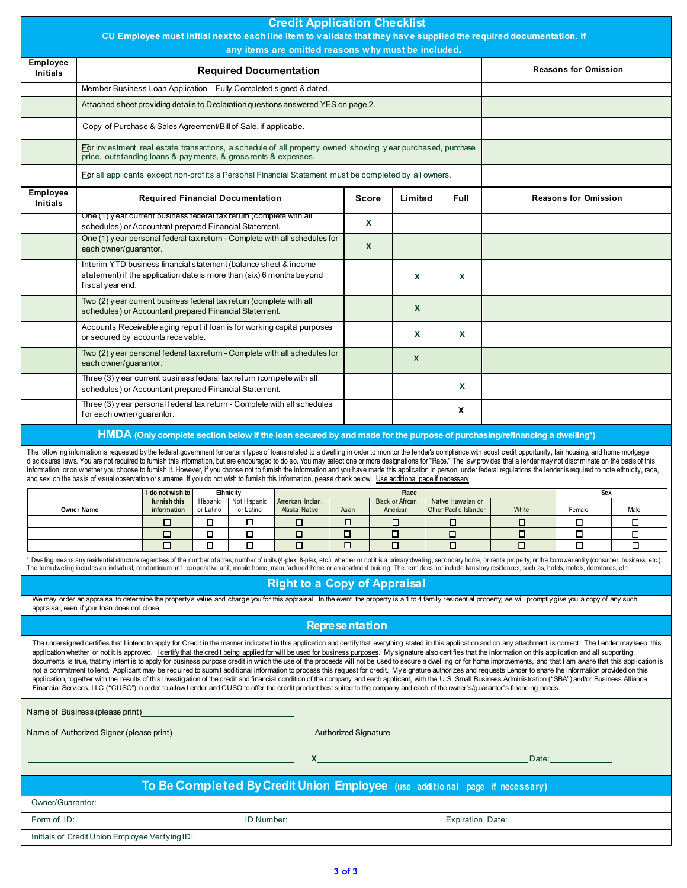|                                                                                                                                                                                                                                                                                                                                                                                                                                                                                                                                                                                                                                                                                                                                                                                                                                                                                                                                                                                                                                                                                                                                                                                                                                                                                                     |                                                                                                                                                                               |                                |                               |                                    | <b>Credit Application Checklist</b><br>any items are omitted reasons why must be included. |                             |              |                                 |                         | CU Employee must initial next to each line item to validate that they have supplied the required documentation. If                                                                                                                                                                                                                                                                                                                                                                                                                                                                                                                                                                             |                             |        |
|-----------------------------------------------------------------------------------------------------------------------------------------------------------------------------------------------------------------------------------------------------------------------------------------------------------------------------------------------------------------------------------------------------------------------------------------------------------------------------------------------------------------------------------------------------------------------------------------------------------------------------------------------------------------------------------------------------------------------------------------------------------------------------------------------------------------------------------------------------------------------------------------------------------------------------------------------------------------------------------------------------------------------------------------------------------------------------------------------------------------------------------------------------------------------------------------------------------------------------------------------------------------------------------------------------|-------------------------------------------------------------------------------------------------------------------------------------------------------------------------------|--------------------------------|-------------------------------|------------------------------------|--------------------------------------------------------------------------------------------|-----------------------------|--------------|---------------------------------|-------------------------|------------------------------------------------------------------------------------------------------------------------------------------------------------------------------------------------------------------------------------------------------------------------------------------------------------------------------------------------------------------------------------------------------------------------------------------------------------------------------------------------------------------------------------------------------------------------------------------------------------------------------------------------------------------------------------------------|-----------------------------|--------|
| <b>Employee</b><br><b>Initials</b>                                                                                                                                                                                                                                                                                                                                                                                                                                                                                                                                                                                                                                                                                                                                                                                                                                                                                                                                                                                                                                                                                                                                                                                                                                                                  |                                                                                                                                                                               |                                | <b>Required Documentation</b> |                                    |                                                                                            | <b>Reasons for Omission</b> |              |                                 |                         |                                                                                                                                                                                                                                                                                                                                                                                                                                                                                                                                                                                                                                                                                                |                             |        |
|                                                                                                                                                                                                                                                                                                                                                                                                                                                                                                                                                                                                                                                                                                                                                                                                                                                                                                                                                                                                                                                                                                                                                                                                                                                                                                     | Member Business Loan Application - Fully Completed signed & dated.                                                                                                            |                                |                               |                                    |                                                                                            |                             |              |                                 |                         |                                                                                                                                                                                                                                                                                                                                                                                                                                                                                                                                                                                                                                                                                                |                             |        |
|                                                                                                                                                                                                                                                                                                                                                                                                                                                                                                                                                                                                                                                                                                                                                                                                                                                                                                                                                                                                                                                                                                                                                                                                                                                                                                     | Attached sheet providing details to Declaration questions answered YES on page 2.                                                                                             |                                |                               |                                    |                                                                                            |                             |              |                                 |                         |                                                                                                                                                                                                                                                                                                                                                                                                                                                                                                                                                                                                                                                                                                |                             |        |
|                                                                                                                                                                                                                                                                                                                                                                                                                                                                                                                                                                                                                                                                                                                                                                                                                                                                                                                                                                                                                                                                                                                                                                                                                                                                                                     | Copy of Purchase & Sales Agreement/Bill of Sale, if applicable.                                                                                                               |                                |                               |                                    |                                                                                            |                             |              |                                 |                         |                                                                                                                                                                                                                                                                                                                                                                                                                                                                                                                                                                                                                                                                                                |                             |        |
|                                                                                                                                                                                                                                                                                                                                                                                                                                                                                                                                                                                                                                                                                                                                                                                                                                                                                                                                                                                                                                                                                                                                                                                                                                                                                                     | For investment real estate transactions, a schedule of all property owned showing year purchased, purchase<br>price, outstanding loans & pay ments, & gross rents & expenses. |                                |                               |                                    |                                                                                            |                             |              |                                 |                         |                                                                                                                                                                                                                                                                                                                                                                                                                                                                                                                                                                                                                                                                                                |                             |        |
|                                                                                                                                                                                                                                                                                                                                                                                                                                                                                                                                                                                                                                                                                                                                                                                                                                                                                                                                                                                                                                                                                                                                                                                                                                                                                                     | For all applicants except non-profits a Personal Financial Statement must be completed by all owners.                                                                         |                                |                               |                                    |                                                                                            |                             |              |                                 |                         |                                                                                                                                                                                                                                                                                                                                                                                                                                                                                                                                                                                                                                                                                                |                             |        |
| <b>Employee</b><br><b>Initials</b>                                                                                                                                                                                                                                                                                                                                                                                                                                                                                                                                                                                                                                                                                                                                                                                                                                                                                                                                                                                                                                                                                                                                                                                                                                                                  | <b>Required Financial Documentation</b><br>Limited<br><b>Full</b><br><b>Score</b>                                                                                             |                                |                               |                                    |                                                                                            |                             |              |                                 |                         |                                                                                                                                                                                                                                                                                                                                                                                                                                                                                                                                                                                                                                                                                                | <b>Reasons for Omission</b> |        |
|                                                                                                                                                                                                                                                                                                                                                                                                                                                                                                                                                                                                                                                                                                                                                                                                                                                                                                                                                                                                                                                                                                                                                                                                                                                                                                     | One (1) year current business federal tax retum (complete with all<br>schedules) or Accountant prepared Financial Statement.                                                  |                                |                               |                                    |                                                                                            |                             |              |                                 |                         |                                                                                                                                                                                                                                                                                                                                                                                                                                                                                                                                                                                                                                                                                                |                             |        |
|                                                                                                                                                                                                                                                                                                                                                                                                                                                                                                                                                                                                                                                                                                                                                                                                                                                                                                                                                                                                                                                                                                                                                                                                                                                                                                     | One (1) year personal federal tax return - Complete with all schedules for<br>each owner/guarantor.                                                                           |                                |                               |                                    |                                                                                            |                             | $\mathsf{x}$ |                                 |                         |                                                                                                                                                                                                                                                                                                                                                                                                                                                                                                                                                                                                                                                                                                |                             |        |
|                                                                                                                                                                                                                                                                                                                                                                                                                                                                                                                                                                                                                                                                                                                                                                                                                                                                                                                                                                                                                                                                                                                                                                                                                                                                                                     | Interim YTD business financial statement (balance sheet & income<br>statement) if the application date is more than (six) 6 months beyond<br>fiscal year end.                 |                                |                               |                                    |                                                                                            |                             |              | X                               | X                       |                                                                                                                                                                                                                                                                                                                                                                                                                                                                                                                                                                                                                                                                                                |                             |        |
|                                                                                                                                                                                                                                                                                                                                                                                                                                                                                                                                                                                                                                                                                                                                                                                                                                                                                                                                                                                                                                                                                                                                                                                                                                                                                                     | Two (2) year current business federal tax retum (complete with all<br>schedules) or Accountant prepared Financial Statement.                                                  |                                |                               |                                    |                                                                                            |                             |              | $\mathbf x$                     |                         |                                                                                                                                                                                                                                                                                                                                                                                                                                                                                                                                                                                                                                                                                                |                             |        |
|                                                                                                                                                                                                                                                                                                                                                                                                                                                                                                                                                                                                                                                                                                                                                                                                                                                                                                                                                                                                                                                                                                                                                                                                                                                                                                     | Accounts Receivable aging report if loan is for working capital purposes<br>or secured by accounts receivable.                                                                |                                |                               |                                    |                                                                                            |                             |              | X                               | X                       |                                                                                                                                                                                                                                                                                                                                                                                                                                                                                                                                                                                                                                                                                                |                             |        |
|                                                                                                                                                                                                                                                                                                                                                                                                                                                                                                                                                                                                                                                                                                                                                                                                                                                                                                                                                                                                                                                                                                                                                                                                                                                                                                     | Two (2) year personal federal tax return - Complete with all schedules for<br>each owner/guarantor.                                                                           |                                |                               |                                    |                                                                                            | $\mathsf{X}$                |              |                                 |                         |                                                                                                                                                                                                                                                                                                                                                                                                                                                                                                                                                                                                                                                                                                |                             |        |
|                                                                                                                                                                                                                                                                                                                                                                                                                                                                                                                                                                                                                                                                                                                                                                                                                                                                                                                                                                                                                                                                                                                                                                                                                                                                                                     | Three (3) y ear current business federal tax return (complete with all<br>schedules) or Accountant prepared Financial Statement.                                              |                                |                               |                                    |                                                                                            |                             |              |                                 | X                       |                                                                                                                                                                                                                                                                                                                                                                                                                                                                                                                                                                                                                                                                                                |                             |        |
| Three (3) y ear personal federal tax return - Complete with all schedules<br>X<br>for each owner/guarantor.                                                                                                                                                                                                                                                                                                                                                                                                                                                                                                                                                                                                                                                                                                                                                                                                                                                                                                                                                                                                                                                                                                                                                                                         |                                                                                                                                                                               |                                |                               |                                    |                                                                                            |                             |              |                                 |                         |                                                                                                                                                                                                                                                                                                                                                                                                                                                                                                                                                                                                                                                                                                |                             |        |
|                                                                                                                                                                                                                                                                                                                                                                                                                                                                                                                                                                                                                                                                                                                                                                                                                                                                                                                                                                                                                                                                                                                                                                                                                                                                                                     |                                                                                                                                                                               |                                |                               |                                    |                                                                                            |                             |              |                                 |                         | HMDA (Only complete section below if the loan secured by and made for the purpose of purchasing/refinancing a dwelling*)                                                                                                                                                                                                                                                                                                                                                                                                                                                                                                                                                                       |                             |        |
|                                                                                                                                                                                                                                                                                                                                                                                                                                                                                                                                                                                                                                                                                                                                                                                                                                                                                                                                                                                                                                                                                                                                                                                                                                                                                                     | and sex on the basis of visual observation or sumame. If you do not wish to furnish this information, please check below. Use additional page if necessary.                   |                                |                               |                                    |                                                                                            |                             |              |                                 |                         | The following information is requested by the federal government for certain types of loans related to a dwelling in order to monitor the lender's compliance with equal credit opportunity, fair housing, and home mortgage<br>disclosures laws. You are not required to fumish this information, but are encouraged to do so. You may select one or more designations for "Race." The law provides that a lender may not discriminate on the basis of this<br>information, or on whether you choose to furnish it. However, if you choose not to furnish the information and you have made this application in person, under federal regulations the lender is required to note ethnicity, r |                             |        |
|                                                                                                                                                                                                                                                                                                                                                                                                                                                                                                                                                                                                                                                                                                                                                                                                                                                                                                                                                                                                                                                                                                                                                                                                                                                                                                     |                                                                                                                                                                               | do not wish to<br>furnish this |                               | Ethnicity<br>Hispanic Not Hispanic | American Indian,                                                                           |                             |              | Race<br><b>Black or African</b> | Native Hawaiian or      |                                                                                                                                                                                                                                                                                                                                                                                                                                                                                                                                                                                                                                                                                                | Sex                         |        |
|                                                                                                                                                                                                                                                                                                                                                                                                                                                                                                                                                                                                                                                                                                                                                                                                                                                                                                                                                                                                                                                                                                                                                                                                                                                                                                     | Owner Name                                                                                                                                                                    | information                    | or Latino                     | or Latino                          | Alaska Native                                                                              | Asian                       |              | American                        | Other Pacific Islander  | White                                                                                                                                                                                                                                                                                                                                                                                                                                                                                                                                                                                                                                                                                          | Female                      | Male   |
|                                                                                                                                                                                                                                                                                                                                                                                                                                                                                                                                                                                                                                                                                                                                                                                                                                                                                                                                                                                                                                                                                                                                                                                                                                                                                                     |                                                                                                                                                                               | □                              | □                             | □                                  | □<br>п                                                                                     | □<br>$\Box$                 |              | □<br>$\Box$                     | □                       | o<br>$\Box$                                                                                                                                                                                                                                                                                                                                                                                                                                                                                                                                                                                                                                                                                    | □<br>о                      | □      |
|                                                                                                                                                                                                                                                                                                                                                                                                                                                                                                                                                                                                                                                                                                                                                                                                                                                                                                                                                                                                                                                                                                                                                                                                                                                                                                     |                                                                                                                                                                               | $\Box$<br>□                    | ◻<br>□                        | □<br>□                             | □                                                                                          | о                           |              | о                               | $\Box$<br>П             | $\Box$                                                                                                                                                                                                                                                                                                                                                                                                                                                                                                                                                                                                                                                                                         | О                           | □<br>о |
|                                                                                                                                                                                                                                                                                                                                                                                                                                                                                                                                                                                                                                                                                                                                                                                                                                                                                                                                                                                                                                                                                                                                                                                                                                                                                                     |                                                                                                                                                                               |                                |                               |                                    |                                                                                            |                             |              |                                 |                         | * Dwelling means any residential structure regardless of the number of acres; number of units (4-plex, 8-plex, etc.); whether or not it is a primary dwelling, secondary home, or rental property; or the borrower entity (con<br>The term dwelling includes an individual, condominium unit, cooperative unit, mobile home, manufactured home or an apartment building. The term does not include tansitory residences, such as, hotels, motels, domitories, et                                                                                                                                                                                                                               |                             |        |
|                                                                                                                                                                                                                                                                                                                                                                                                                                                                                                                                                                                                                                                                                                                                                                                                                                                                                                                                                                                                                                                                                                                                                                                                                                                                                                     |                                                                                                                                                                               |                                |                               |                                    | <b>Right to a Copy of Appraisal</b>                                                        |                             |              |                                 |                         |                                                                                                                                                                                                                                                                                                                                                                                                                                                                                                                                                                                                                                                                                                |                             |        |
|                                                                                                                                                                                                                                                                                                                                                                                                                                                                                                                                                                                                                                                                                                                                                                                                                                                                                                                                                                                                                                                                                                                                                                                                                                                                                                     | appraisal, even if your loan does not close.                                                                                                                                  |                                |                               |                                    |                                                                                            |                             |              |                                 |                         | We may order an appraisal to determine the property's value and charge you for this appraisal. In the event the property is a 1 to 4 family residential property, we will promptly give you a copy of any such                                                                                                                                                                                                                                                                                                                                                                                                                                                                                 |                             |        |
|                                                                                                                                                                                                                                                                                                                                                                                                                                                                                                                                                                                                                                                                                                                                                                                                                                                                                                                                                                                                                                                                                                                                                                                                                                                                                                     |                                                                                                                                                                               |                                |                               |                                    |                                                                                            | <b>Representation</b>       |              |                                 |                         |                                                                                                                                                                                                                                                                                                                                                                                                                                                                                                                                                                                                                                                                                                |                             |        |
| The undersigned certifies that I intend to apply for Credit in the manner indicated in this application and certify that everything stated in this application and on any attachment is correct. The Lender may keep this<br>application whether or not it is approved. Loertify that the credit being applied for will be used for business purposes. My signature also certifies that the information on this application and all supporting<br>documents is true, that my intent is to apply for business purpose credit in which the use of the proceeds will not be used to secure a dwelling or for home improvements, and that I am aware that this application is<br>not a commitment to lend. Applicant may be required to submit additional information to process this request for credit. My signature authorizes and requests Lender to share the information provided on this<br>application, together with the results of this investigation of the credit and financial condition of the company and each applicant, with the U.S. Small Business Administration ("SBA") and/or Business Alliance<br>Financial Services, LLC ("CUSO") in order to allow Lender and CUSO to offer the credit product best suited to the company and each of the owner's/guarantor's financing needs. |                                                                                                                                                                               |                                |                               |                                    |                                                                                            |                             |              |                                 |                         |                                                                                                                                                                                                                                                                                                                                                                                                                                                                                                                                                                                                                                                                                                |                             |        |
|                                                                                                                                                                                                                                                                                                                                                                                                                                                                                                                                                                                                                                                                                                                                                                                                                                                                                                                                                                                                                                                                                                                                                                                                                                                                                                     | Name of Business (please print)                                                                                                                                               |                                |                               |                                    |                                                                                            |                             |              |                                 |                         |                                                                                                                                                                                                                                                                                                                                                                                                                                                                                                                                                                                                                                                                                                |                             |        |
|                                                                                                                                                                                                                                                                                                                                                                                                                                                                                                                                                                                                                                                                                                                                                                                                                                                                                                                                                                                                                                                                                                                                                                                                                                                                                                     | Name of Authorized Signer (please print)<br><b>Authorized Signature</b>                                                                                                       |                                |                               |                                    |                                                                                            |                             |              |                                 |                         |                                                                                                                                                                                                                                                                                                                                                                                                                                                                                                                                                                                                                                                                                                |                             |        |
|                                                                                                                                                                                                                                                                                                                                                                                                                                                                                                                                                                                                                                                                                                                                                                                                                                                                                                                                                                                                                                                                                                                                                                                                                                                                                                     | Date:                                                                                                                                                                         |                                |                               |                                    |                                                                                            |                             |              |                                 |                         |                                                                                                                                                                                                                                                                                                                                                                                                                                                                                                                                                                                                                                                                                                |                             |        |
|                                                                                                                                                                                                                                                                                                                                                                                                                                                                                                                                                                                                                                                                                                                                                                                                                                                                                                                                                                                                                                                                                                                                                                                                                                                                                                     |                                                                                                                                                                               |                                |                               |                                    |                                                                                            |                             |              |                                 |                         | To Be Completed By Credit Union Employee (use additional page if necessary)                                                                                                                                                                                                                                                                                                                                                                                                                                                                                                                                                                                                                    |                             |        |
| Owner/Guarantor:                                                                                                                                                                                                                                                                                                                                                                                                                                                                                                                                                                                                                                                                                                                                                                                                                                                                                                                                                                                                                                                                                                                                                                                                                                                                                    |                                                                                                                                                                               |                                |                               |                                    |                                                                                            |                             |              |                                 |                         |                                                                                                                                                                                                                                                                                                                                                                                                                                                                                                                                                                                                                                                                                                |                             |        |
| Form of ID:                                                                                                                                                                                                                                                                                                                                                                                                                                                                                                                                                                                                                                                                                                                                                                                                                                                                                                                                                                                                                                                                                                                                                                                                                                                                                         |                                                                                                                                                                               |                                |                               | ID Number:                         |                                                                                            |                             |              |                                 | <b>Expiration Date:</b> |                                                                                                                                                                                                                                                                                                                                                                                                                                                                                                                                                                                                                                                                                                |                             |        |
|                                                                                                                                                                                                                                                                                                                                                                                                                                                                                                                                                                                                                                                                                                                                                                                                                                                                                                                                                                                                                                                                                                                                                                                                                                                                                                     | Initials of Credit Union Employee Verifying ID:                                                                                                                               |                                |                               |                                    |                                                                                            |                             |              |                                 |                         |                                                                                                                                                                                                                                                                                                                                                                                                                                                                                                                                                                                                                                                                                                |                             |        |
|                                                                                                                                                                                                                                                                                                                                                                                                                                                                                                                                                                                                                                                                                                                                                                                                                                                                                                                                                                                                                                                                                                                                                                                                                                                                                                     |                                                                                                                                                                               |                                |                               |                                    |                                                                                            |                             |              |                                 |                         |                                                                                                                                                                                                                                                                                                                                                                                                                                                                                                                                                                                                                                                                                                |                             |        |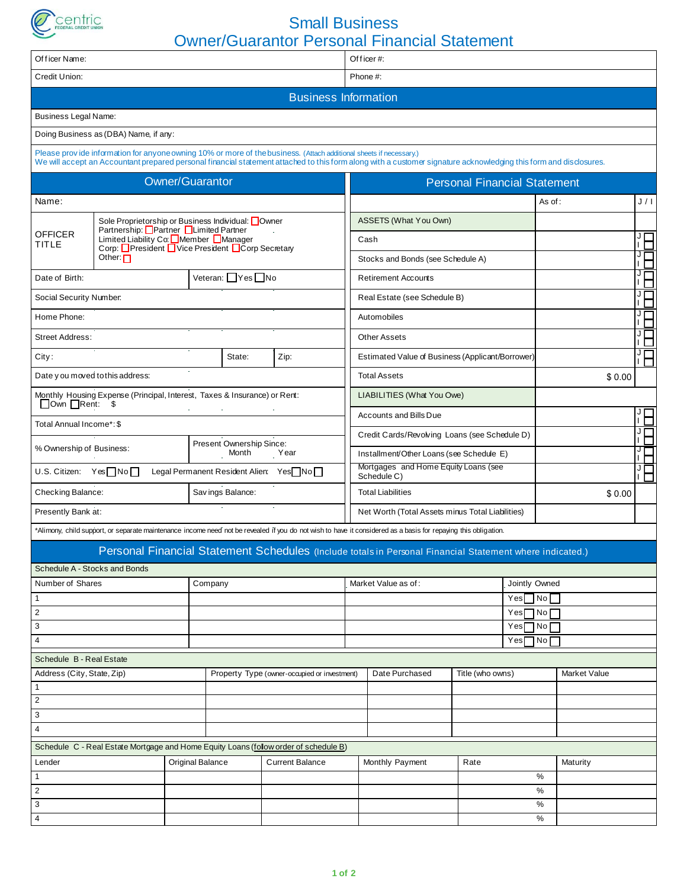

## Small Business Owner/Guarantor Personal Financial Statement

| Officer Name:                    |                                                                                             |                                                   |                                        |                                                                                                                    | Owner/Guarantor Personal Financial Statement<br>Of ficer#: |                                                                                                                                                                   |                                     |  |         |                                     |     |  |  |
|----------------------------------|---------------------------------------------------------------------------------------------|---------------------------------------------------|----------------------------------------|--------------------------------------------------------------------------------------------------------------------|------------------------------------------------------------|-------------------------------------------------------------------------------------------------------------------------------------------------------------------|-------------------------------------|--|---------|-------------------------------------|-----|--|--|
| Credit Union:                    |                                                                                             |                                                   |                                        |                                                                                                                    | Phone #:                                                   |                                                                                                                                                                   |                                     |  |         |                                     |     |  |  |
|                                  |                                                                                             |                                                   |                                        |                                                                                                                    | <b>Business Information</b>                                |                                                                                                                                                                   |                                     |  |         |                                     |     |  |  |
|                                  |                                                                                             |                                                   |                                        |                                                                                                                    |                                                            |                                                                                                                                                                   |                                     |  |         |                                     |     |  |  |
| <b>Business Legal Name:</b>      |                                                                                             |                                                   |                                        |                                                                                                                    |                                                            |                                                                                                                                                                   |                                     |  |         |                                     |     |  |  |
|                                  | Doing Business as (DBA) Name, if any:                                                       |                                                   |                                        |                                                                                                                    |                                                            |                                                                                                                                                                   |                                     |  |         |                                     |     |  |  |
|                                  |                                                                                             |                                                   |                                        | Please provide information for anyone owning 10% or more of the business. (Attach additional sheets if necessary.) |                                                            | We will accept an Accountant prepared personal financial statement attached to this form along with a customer signature acknowledging this form and disclosures. |                                     |  |         |                                     |     |  |  |
|                                  |                                                                                             | <b>Owner/Guarantor</b>                            |                                        |                                                                                                                    |                                                            |                                                                                                                                                                   | <b>Personal Financial Statement</b> |  |         |                                     |     |  |  |
| Name:                            |                                                                                             |                                                   |                                        |                                                                                                                    |                                                            |                                                                                                                                                                   |                                     |  | As of : |                                     | J/I |  |  |
|                                  | Sole Proprietorship or Business Individual: Owner                                           |                                                   |                                        |                                                                                                                    |                                                            | ASSETS (What You Own)                                                                                                                                             |                                     |  |         |                                     |     |  |  |
| <b>OFFICER</b><br>TITLE          | Partnership: Partner Limited Partner<br>Limited Liability Co. Member Manager                |                                                   |                                        |                                                                                                                    |                                                            | Cash                                                                                                                                                              |                                     |  |         |                                     | ŀЪ  |  |  |
|                                  | Corp: President Vice President Corp Secretary<br>Other: $\Box$                              |                                                   |                                        |                                                                                                                    |                                                            | Stocks and Bonds (see Schedule A)                                                                                                                                 |                                     |  |         |                                     | m   |  |  |
| Date of Birth:                   |                                                                                             |                                                   | Veteran: Yes No                        |                                                                                                                    |                                                            | <b>Retirement Accounts</b>                                                                                                                                        |                                     |  |         |                                     | Ė   |  |  |
| Social Security Number.          |                                                                                             |                                                   |                                        |                                                                                                                    |                                                            | Real Estate (see Schedule B)                                                                                                                                      |                                     |  |         |                                     | ŀН  |  |  |
| Home Phone:                      |                                                                                             |                                                   |                                        |                                                                                                                    |                                                            | Automobiles                                                                                                                                                       |                                     |  |         |                                     | ŀН  |  |  |
| <b>Street Address:</b>           |                                                                                             |                                                   |                                        |                                                                                                                    |                                                            | <b>Other Assets</b>                                                                                                                                               |                                     |  |         |                                     | īЕ  |  |  |
| City:                            |                                                                                             |                                                   | State:                                 | Zip:                                                                                                               |                                                            | Estimated Value of Business (Applicant/Borrower)                                                                                                                  |                                     |  | Ė       |                                     |     |  |  |
|                                  | Date you moved to this address:                                                             |                                                   |                                        |                                                                                                                    |                                                            | <b>Total Assets</b>                                                                                                                                               |                                     |  |         | \$0.00                              |     |  |  |
|                                  | Monthly Housing Expense (Principal, Interest, Taxes & Insurance) or Rent:<br>Down ORent: \$ |                                                   |                                        |                                                                                                                    |                                                            | <b>LIABILITIES (What You Owe)</b>                                                                                                                                 |                                     |  |         |                                     |     |  |  |
| Total Annual Income*: \$         |                                                                                             |                                                   |                                        |                                                                                                                    |                                                            | <b>Accounts and Bills Due</b>                                                                                                                                     |                                     |  |         |                                     | ŀН  |  |  |
|                                  |                                                                                             |                                                   |                                        |                                                                                                                    |                                                            | Credit Cards/Revolving Loans (see Schedule D)                                                                                                                     |                                     |  |         |                                     | П   |  |  |
| % Ownership of Business:         |                                                                                             |                                                   | Present Ownership Since:<br>Month Year |                                                                                                                    |                                                            | Installment/Other Loans (see Schedule E)                                                                                                                          |                                     |  |         |                                     | ĭН  |  |  |
| U.S. Citizen: Yes□No□            |                                                                                             | Legal Permanent Resident Alien: Yes <sup>No</sup> |                                        |                                                                                                                    |                                                            | Mortgages and Home Equity Loans (see<br>Schedule C)                                                                                                               |                                     |  |         |                                     | Ė   |  |  |
| Checking Balance:                |                                                                                             |                                                   | Savings Balance:                       |                                                                                                                    |                                                            | <b>Total Liabilities</b>                                                                                                                                          |                                     |  |         | \$0.00                              |     |  |  |
| Presently Bank at:               |                                                                                             |                                                   |                                        | $\mathcal{L}_{\mathcal{A}}$                                                                                        |                                                            | Net Worth (Total Assets minus Total Liabilities)                                                                                                                  |                                     |  |         |                                     |     |  |  |
|                                  |                                                                                             |                                                   |                                        |                                                                                                                    |                                                            | *Alimony, child support, or separate maintenance income need not be revealed if you do not wish to have it considered as a basis for repaying this obligation.    |                                     |  |         |                                     |     |  |  |
|                                  |                                                                                             |                                                   |                                        |                                                                                                                    |                                                            | Personal Financial Statement Schedules (Include totals in Personal Financial Statement where indicated.)                                                          |                                     |  |         |                                     |     |  |  |
|                                  | Schedule A - Stocks and Bonds                                                               |                                                   |                                        |                                                                                                                    |                                                            |                                                                                                                                                                   |                                     |  |         |                                     |     |  |  |
| Number of Shares<br>$\mathbf{1}$ |                                                                                             | Company                                           |                                        |                                                                                                                    |                                                            | Market Value as of:                                                                                                                                               |                                     |  |         | Jointly Owned<br>$Yes \Box No \Box$ |     |  |  |
| $\overline{2}$                   |                                                                                             |                                                   |                                        |                                                                                                                    |                                                            |                                                                                                                                                                   |                                     |  |         | $Yes \Box No \Box$                  |     |  |  |
| 3                                |                                                                                             |                                                   |                                        |                                                                                                                    |                                                            |                                                                                                                                                                   | $Yes \Box No \Box$                  |  |         |                                     |     |  |  |
| 4                                |                                                                                             |                                                   |                                        |                                                                                                                    |                                                            |                                                                                                                                                                   | $Yes \Box No \Box$                  |  |         |                                     |     |  |  |
| Schedule B - Real Estate         |                                                                                             |                                                   |                                        |                                                                                                                    |                                                            |                                                                                                                                                                   |                                     |  |         |                                     |     |  |  |
| Address (City, State, Zip)       |                                                                                             |                                                   |                                        | Property Type (owner-occupied or investment)                                                                       |                                                            | Date Purchased                                                                                                                                                    | Title (who owns)                    |  |         | Market Value                        |     |  |  |
| $\mathbf{1}$                     |                                                                                             |                                                   |                                        |                                                                                                                    |                                                            |                                                                                                                                                                   |                                     |  |         |                                     |     |  |  |
| $\overline{2}$                   |                                                                                             |                                                   |                                        |                                                                                                                    |                                                            |                                                                                                                                                                   |                                     |  |         |                                     |     |  |  |
| 3                                |                                                                                             |                                                   |                                        |                                                                                                                    |                                                            |                                                                                                                                                                   |                                     |  |         |                                     |     |  |  |
| 4                                |                                                                                             |                                                   |                                        |                                                                                                                    |                                                            |                                                                                                                                                                   |                                     |  |         |                                     |     |  |  |
|                                  |                                                                                             |                                                   |                                        | Schedule C - Real Estate Mortgage and Home Equity Loans (follow order of schedule B)                               |                                                            |                                                                                                                                                                   |                                     |  |         |                                     |     |  |  |
| Original Balance<br>Lender       |                                                                                             |                                                   |                                        | <b>Current Balance</b>                                                                                             |                                                            | Monthly Payment                                                                                                                                                   | Rate                                |  |         | Maturity                            |     |  |  |
| $\mathbf{1}$                     |                                                                                             |                                                   |                                        |                                                                                                                    |                                                            |                                                                                                                                                                   |                                     |  | %       |                                     |     |  |  |
| $\overline{2}$                   |                                                                                             |                                                   |                                        |                                                                                                                    |                                                            |                                                                                                                                                                   |                                     |  | %       |                                     |     |  |  |
| 3<br>$\overline{4}$              |                                                                                             |                                                   |                                        |                                                                                                                    |                                                            |                                                                                                                                                                   |                                     |  | ℅<br>%  |                                     |     |  |  |
|                                  |                                                                                             |                                                   |                                        |                                                                                                                    |                                                            |                                                                                                                                                                   |                                     |  |         |                                     |     |  |  |